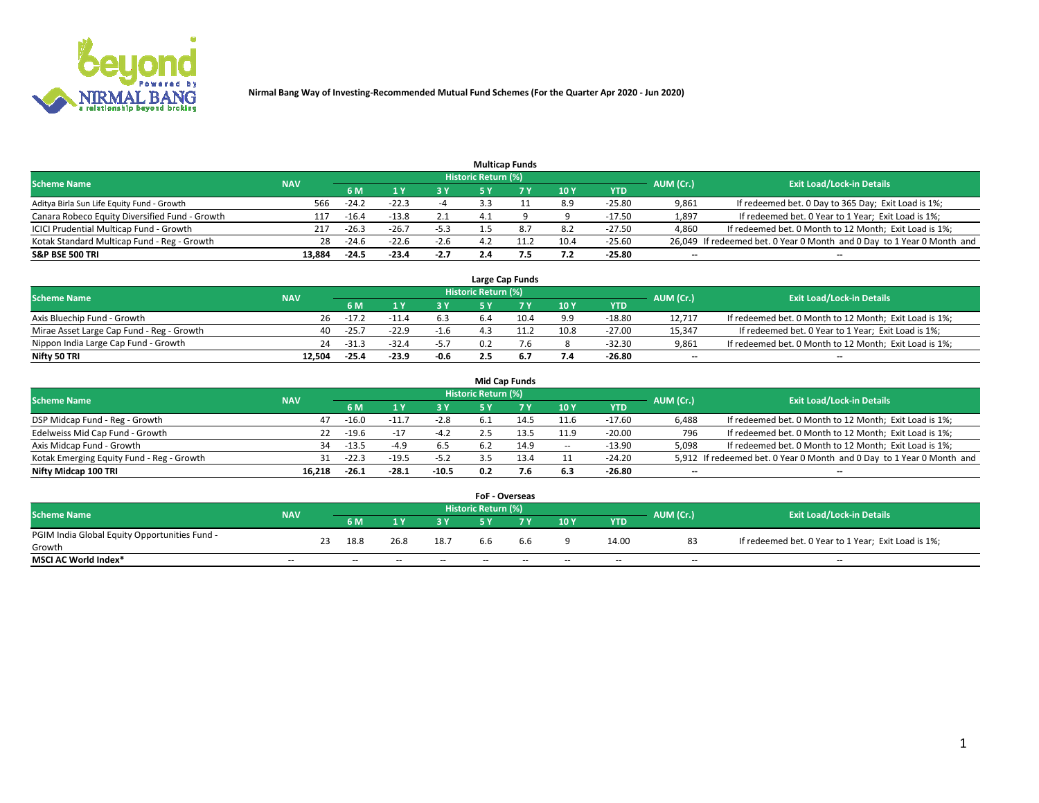

|                                                |            |         |         |        |                            | <b>Multicap Funds</b> |      |            |           |                                                                        |
|------------------------------------------------|------------|---------|---------|--------|----------------------------|-----------------------|------|------------|-----------|------------------------------------------------------------------------|
| <b>Scheme Name</b>                             | <b>NAV</b> |         |         |        | <b>Historic Return (%)</b> |                       |      |            | AUM (Cr.) | <b>Exit Load/Lock-in Details</b>                                       |
|                                                |            | 6 M     |         | 73 V   |                            |                       | 10Y  | <b>YTD</b> |           |                                                                        |
| Aditya Birla Sun Life Equity Fund - Growth     | 566        | $-24.2$ | $-22.3$ |        |                            |                       | 8.9  | $-25.80$   | 9,861     | If redeemed bet. 0 Day to 365 Day; Exit Load is 1%;                    |
| Canara Robeco Equity Diversified Fund - Growth | 117        | $-16.4$ | $-13.8$ | 2.1    | 4.1                        |                       |      | $-17.50$   | 1,897     | If redeemed bet. 0 Year to 1 Year; Exit Load is 1%;                    |
| ICICI Prudential Multicap Fund - Growth        | 217        | $-26.3$ | $-26.7$ | $-5.3$ |                            |                       | 8.2  | $-27.50$   | 4,860     | If redeemed bet. 0 Month to 12 Month; Exit Load is 1%;                 |
| Kotak Standard Multicap Fund - Reg - Growth    | 28         | $-24.6$ | $-22.6$ | $-2.6$ | 4.2                        |                       | 10.4 | $-25.60$   |           | 26,049 If redeemed bet. 0 Year 0 Month and 0 Day to 1 Year 0 Month and |
| <b>S&amp;P BSE 500 TRI</b>                     | 13,884     | $-24.5$ | $-23.4$ | $-2.7$ | 2.4                        |                       | 7.2  | $-25.80$   | $- -$     | --                                                                     |

|                                           |            |           |                                  |        |     | Large Cap Funds |      |            |                          |                                                        |
|-------------------------------------------|------------|-----------|----------------------------------|--------|-----|-----------------|------|------------|--------------------------|--------------------------------------------------------|
| <b>Scheme Name</b>                        | <b>NAV</b> | AUM (Cr.) | <b>Exit Load/Lock-in Details</b> |        |     |                 |      |            |                          |                                                        |
|                                           |            | 6 M       |                                  | 3 Y    |     |                 | 10Y  | <b>YTD</b> |                          |                                                        |
| Axis Bluechip Fund - Growth               | 26         | $-17.2$   |                                  | 6.3    | b.4 | 10.4            | 9.9  | -18.80     | 12.717                   | If redeemed bet. 0 Month to 12 Month; Exit Load is 1%; |
| Mirae Asset Large Cap Fund - Reg - Growth | 40         | $-25.7$   | $-22.9$                          | $-1.6$ |     |                 | 10.8 | $-27.00$   | 15.347                   | If redeemed bet. 0 Year to 1 Year; Exit Load is 1%;    |
| Nippon India Large Cap Fund - Growth      | 24         | $-31.3$   | $-32.4$                          | $-5.7$ |     |                 |      | $-32.30$   | 9,861                    | If redeemed bet. 0 Month to 12 Month; Exit Load is 1%; |
| Nifty 50 TRI                              | 12.504     | $-25.4$   | $-23.9$                          | -0.6   |     | 6.7             | 7.4  | $-26.80$   | $\overline{\phantom{a}}$ | $\overline{\phantom{a}}$                               |

|                                           |            |         |         |         |                     | <b>Mid Cap Funds</b> |                          |            |           |                                                                       |
|-------------------------------------------|------------|---------|---------|---------|---------------------|----------------------|--------------------------|------------|-----------|-----------------------------------------------------------------------|
| <b>Scheme Name</b>                        | <b>NAV</b> |         |         |         | Historic Return (%) |                      |                          |            | AUM (Cr.) | <b>Exit Load/Lock-in Details</b>                                      |
|                                           |            | 6 M     |         | 3 Y     |                     |                      | 10Y                      | <b>YTD</b> |           |                                                                       |
| DSP Midcap Fund - Reg - Growth            | 47         | $-16.0$ | $-11.$  | $-2.8$  | 6.1                 | 14.5                 | 11.6                     | $-17.60$   | 6,488     | If redeemed bet. 0 Month to 12 Month; Exit Load is 1%;                |
| Edelweiss Mid Cap Fund - Growth           | 22.        | $-19.6$ | $-1$ .  | $-4.2$  |                     |                      | 11.9                     | $-20.00$   | 796       | If redeemed bet. 0 Month to 12 Month; Exit Load is 1%;                |
| Axis Midcap Fund - Growth                 | 34         | $-13.5$ | $-4.9$  | 6.5     | 6.2                 | 14.9                 | $\overline{\phantom{a}}$ | $-13.90$   | 5,098     | If redeemed bet. 0 Month to 12 Month; Exit Load is 1%;                |
| Kotak Emerging Equity Fund - Reg - Growth | 31         | $-22.3$ | $-19.5$ | $-5.2$  |                     | 13.4                 |                          | $-24.20$   |           | 5,912 If redeemed bet. 0 Year 0 Month and 0 Day to 1 Year 0 Month and |
| Nifty Midcap 100 TRI                      | 16.218     | $-26.1$ | $-28.1$ | $-10.5$ | 0.2                 | 7.6                  | 6.3                      | $-26.80$   | --        | $\overline{\phantom{a}}$                                              |

|                                               |            |    |      |      |      | <b>FoF - Overseas</b>      |     |     |            |           |                                                     |
|-----------------------------------------------|------------|----|------|------|------|----------------------------|-----|-----|------------|-----------|-----------------------------------------------------|
| <b>Scheme Name</b>                            | <b>NAV</b> |    |      |      |      | <b>Historic Return (%)</b> |     |     |            | AUM (Cr.) | <b>Exit Load/Lock-in Details</b>                    |
|                                               |            |    | 6 M  |      |      |                            |     | 10Y | <b>YTD</b> |           |                                                     |
| PGIM India Global Equity Opportunities Fund - |            | 23 | 18.8 | 26.8 | 18.7 |                            |     |     | 14.00      | 83        | If redeemed bet. 0 Year to 1 Year; Exit Load is 1%; |
| Growth                                        |            |    |      |      |      | 6.6                        | 6.6 |     |            |           |                                                     |
| <b>MSCI AC World Index*</b>                   | $- -$      |    | $-$  | $-$  | $-$  | --                         | $-$ | $-$ | $-$        | $-$       | $-$                                                 |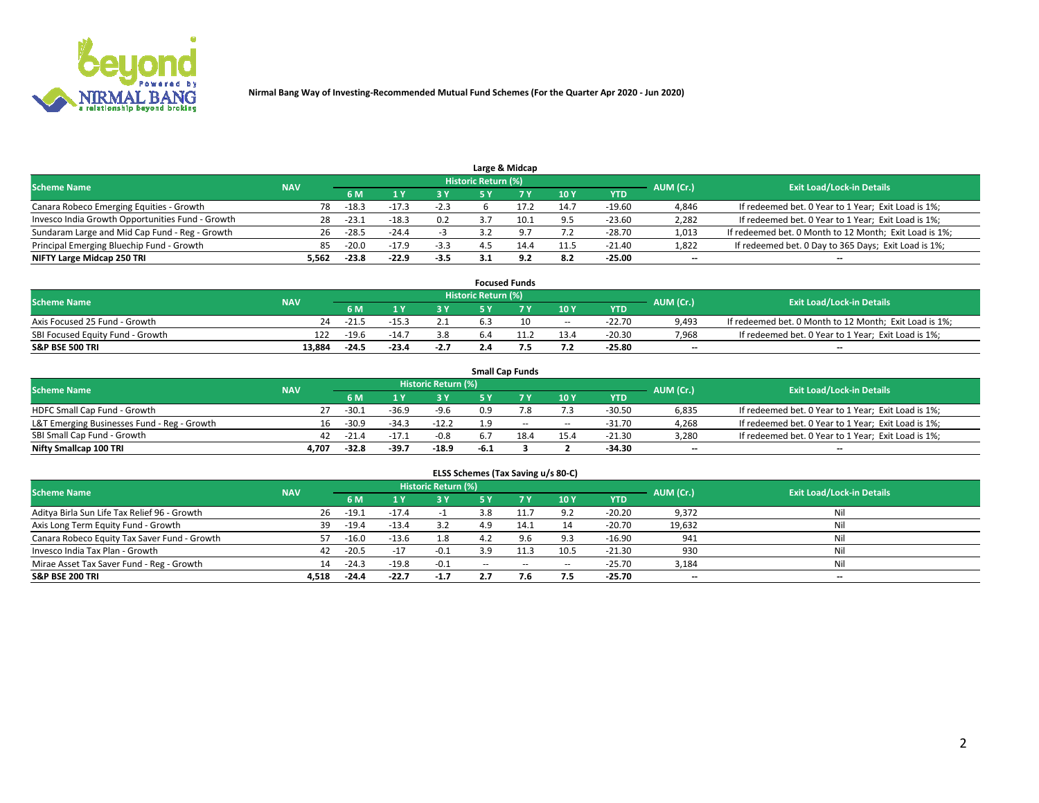

|                                                  |            |                                  |         |        | Large & Midcap |      |            |       |                                                        |
|--------------------------------------------------|------------|----------------------------------|---------|--------|----------------|------|------------|-------|--------------------------------------------------------|
| <b>Scheme Name</b>                               | AUM (Cr.)  | <b>Exit Load/Lock-in Details</b> |         |        |                |      |            |       |                                                        |
|                                                  | <b>NAV</b> | 6 M                              |         |        |                | 10Y  | <b>YTD</b> |       |                                                        |
| Canara Robeco Emerging Equities - Growth         | 78         | $-18.3$                          | $-17.3$ | $-2.3$ |                | 14.7 | $-19.60$   | 4,846 | If redeemed bet. 0 Year to 1 Year; Exit Load is 1%;    |
| Invesco India Growth Opportunities Fund - Growth | 28         | -23.1                            | $-18.3$ | 0.2    | 10.1           | 9.5  | $-23.60$   | 2,282 | If redeemed bet. 0 Year to 1 Year; Exit Load is 1%;    |
| Sundaram Large and Mid Cap Fund - Reg - Growth   | 26         | $-28.5$                          | $-24.4$ |        |                | 7.2  | $-28.70$   | 1,013 | If redeemed bet. 0 Month to 12 Month; Exit Load is 1%; |
| Principal Emerging Bluechip Fund - Growth        | 85         | $-20.0$                          | $-17.9$ | $-3.3$ | 14.4           | 11.5 | $-21.40$   | 1,822 | If redeemed bet. 0 Day to 365 Days; Exit Load is 1%;   |
| NIFTY Large Midcap 250 TRI                       | 5.562      | $-23.8$                          | $-22.9$ | $-3.5$ | ດ າ            | 8.2  | $-25.00$   | $- -$ | $\overline{\phantom{a}}$                               |

|                                  |            |         |        |        |                     | <b>Focused Funds</b> |       |          |                          |                                                        |
|----------------------------------|------------|---------|--------|--------|---------------------|----------------------|-------|----------|--------------------------|--------------------------------------------------------|
| <b>Scheme Name</b>               | <b>NAV</b> |         |        |        | Historic Return (%) |                      |       |          | AUM (Cr.)                | <b>Exit Load/Lock-in Details</b>                       |
|                                  |            | 6 M     |        |        |                     |                      | 10Y   | YTD      |                          |                                                        |
| Axis Focused 25 Fund - Growth    | 24         | $-21.$  |        |        |                     |                      | $- -$ | $-22.70$ | 9,493                    | If redeemed bet. 0 Month to 12 Month; Exit Load is 1%; |
| SBI Focused Equity Fund - Growth | 122        | $-19.6$ | $-14.$ | 3.8    |                     |                      | 13.4  | $-20.30$ | 7,968                    | If redeemed bet. 0 Year to 1 Year; Exit Load is 1%;    |
| <b>S&amp;P BSE 500 TRI</b>       | 13.884     | $-24.5$ | -23.4  | $-2.7$ |                     |                      | 7.2   | $-25.80$ | $\overline{\phantom{a}}$ | $\overline{\phantom{a}}$                               |

|                                             |            |         |         |                     |        | <b>Small Cap Funds</b> |       |            |           |                                                     |
|---------------------------------------------|------------|---------|---------|---------------------|--------|------------------------|-------|------------|-----------|-----------------------------------------------------|
| <b>Scheme Name</b>                          | <b>NAV</b> |         |         | Historic Return (%) |        |                        |       |            | AUM (Cr.) | <b>Exit Load/Lock-in Details</b>                    |
|                                             |            | 6 M     |         | 3 Y                 |        |                        | 10Y   | <b>YTD</b> |           |                                                     |
| HDFC Small Cap Fund - Growth                |            | $-30.2$ | $-36.9$ | $-9.6$              | 0.9    |                        | 7.3   | $-30.50$   | 6,835     | If redeemed bet. 0 Year to 1 Year; Exit Load is 1%; |
| L&T Emerging Businesses Fund - Reg - Growth | 16         | $-30.9$ | $-34.3$ | $-12.2$             | 1.9    | $\sim$                 | $- -$ | $-31.70$   | 4,268     | If redeemed bet. 0 Year to 1 Year; Exit Load is 1%; |
| SBI Small Cap Fund - Growth                 | 42         | $-21.4$ | $-17.1$ | $-0.8$              |        | 18.4                   | 15.4  | $-21.30$   | 3,280     | If redeemed bet. 0 Year to 1 Year; Exit Load is 1%; |
| Nifty Smallcap 100 TRI                      | 4.707      | -32.8   | $-39.7$ | $-18.9$             | $-6.1$ |                        |       | $-34.30$   | $- -$     | $\overline{\phantom{a}}$                            |

| ELSS Schemes (Tax Saving u/s 80-C)           |            |         |         |                            |           |           |        |            |           |                                  |  |  |  |
|----------------------------------------------|------------|---------|---------|----------------------------|-----------|-----------|--------|------------|-----------|----------------------------------|--|--|--|
| <b>Scheme Name</b>                           | <b>NAV</b> |         |         | <b>Historic Return (%)</b> |           |           |        |            | AUM (Cr.) | <b>Exit Load/Lock-in Details</b> |  |  |  |
|                                              |            | 6 M     |         | 3 Y                        | <b>5Y</b> | <b>7Y</b> | 10Y    | <b>YTD</b> |           |                                  |  |  |  |
| Aditya Birla Sun Life Tax Relief 96 - Growth | 26         | $-19.1$ | $-17.4$ |                            | 3.8       |           | 9.2    | $-20.20$   | 9,372     | Nil                              |  |  |  |
| Axis Long Term Equity Fund - Growth          | 39         | $-19.4$ | $-13.4$ | 3.2                        | 49        | 14.1      | 14     | $-20.70$   | 19,632    | Nil                              |  |  |  |
| Canara Robeco Equity Tax Saver Fund - Growth |            | $-16.0$ | $-13.6$ | 1.8                        |           | 9.6       | 9.3    | $-16.90$   | 941       | Nil                              |  |  |  |
| Invesco India Tax Plan - Growth              | 42         | $-20.5$ | $-17$   | $-0.1$                     | 3.9       |           | 10.5   | $-21.30$   | 930       | Nil                              |  |  |  |
| Mirae Asset Tax Saver Fund - Reg - Growth    | 14         | $-24.3$ | $-19.8$ | $-0.1$                     | $\sim$    | $\sim$    | $\sim$ | $-25.70$   | 3,184     | Nil                              |  |  |  |
| <b>S&amp;P BSE 200 TRI</b>                   | 4.518      | $-24.4$ | $-22.7$ | $-1.7$                     |           | 7.6       | 7.5    | $-25.70$   | $- -$     | $\overline{\phantom{a}}$         |  |  |  |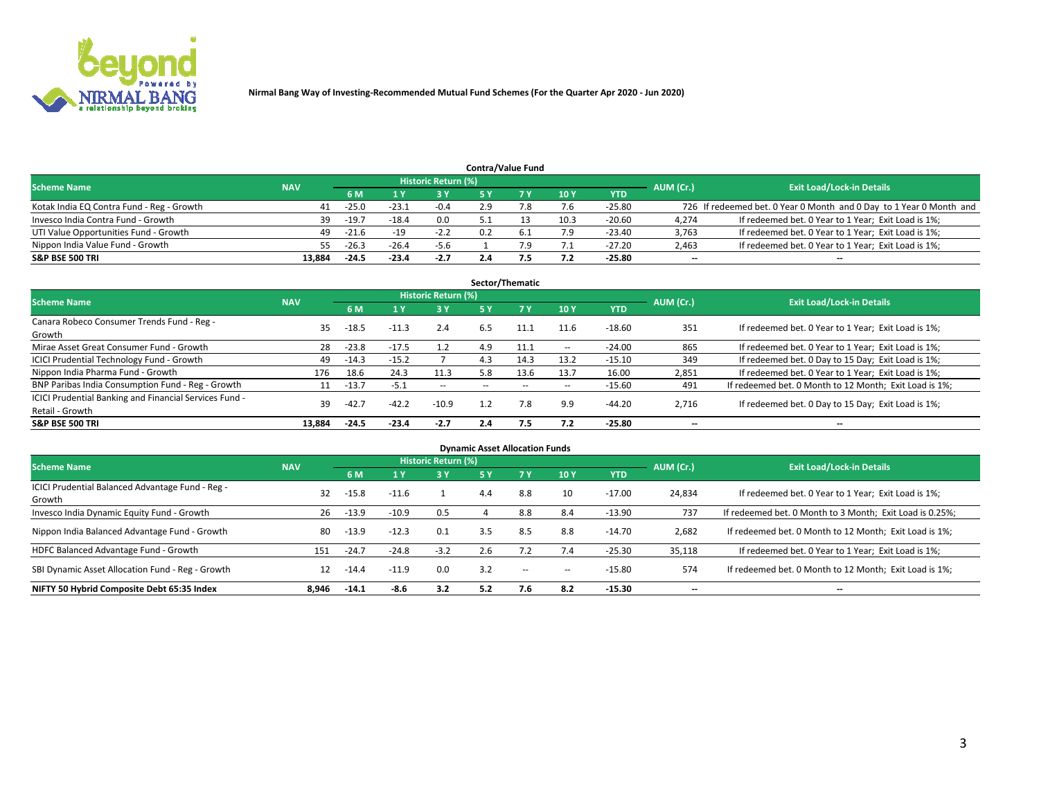

|                                           |            |                                  |         |        | <b>Contra/Value Fund</b> |      |            |       |                                                                     |
|-------------------------------------------|------------|----------------------------------|---------|--------|--------------------------|------|------------|-------|---------------------------------------------------------------------|
| <b>Scheme Name</b>                        | AUM (Cr.)  | <b>Exit Load/Lock-in Details</b> |         |        |                          |      |            |       |                                                                     |
|                                           | <b>NAV</b> | 6 M                              |         | 73 V   |                          | 10Y  | <b>YTD</b> |       |                                                                     |
| Kotak India EQ Contra Fund - Reg - Growth | 41         | $-25.0$                          | $-23.1$ | $-0.4$ |                          | 7.6  | $-25.80$   |       | 726 If redeemed bet. 0 Year 0 Month and 0 Day to 1 Year 0 Month and |
| Invesco India Contra Fund - Growth        | 39         | $-19.7$                          | $-18.4$ | 0.0    |                          | 10.3 | $-20.60$   | 4,274 | If redeemed bet. 0 Year to 1 Year; Exit Load is 1%;                 |
| UTI Value Opportunities Fund - Growth     | 49         | $-21.6$                          | $-19$   | $-2.2$ | 0.2                      | 7.9  | $-23.40$   | 3,763 | If redeemed bet. 0 Year to 1 Year; Exit Load is 1%;                 |
| Nippon India Value Fund - Growth          | 55.        | $-26.3$                          | $-26.4$ | $-5.6$ |                          | 7.1  | $-27.20$   | 2,463 | If redeemed bet. 0 Year to 1 Year; Exit Load is 1%;                 |
| <b>S&amp;P BSE 500 TRI</b>                | 13.884     | $-24.5$                          | $-23.4$ | $-2.7$ |                          | 7.2  | $-25.80$   | $- -$ | $\overline{\phantom{a}}$                                            |

| Sector/Thematic                                                           |            |         |         |                            |     |      |            |          |           |                                                        |  |  |  |
|---------------------------------------------------------------------------|------------|---------|---------|----------------------------|-----|------|------------|----------|-----------|--------------------------------------------------------|--|--|--|
| <b>Scheme Name</b>                                                        | <b>NAV</b> |         |         | <b>Historic Return (%)</b> |     |      |            |          | AUM (Cr.) | <b>Exit Load/Lock-in Details</b>                       |  |  |  |
|                                                                           |            | 6 M     |         | 3 Y                        | 5 Y |      | 10Y        | YTD      |           |                                                        |  |  |  |
| Canara Robeco Consumer Trends Fund - Reg -<br>Growth                      | 35         | $-18.5$ | $-11.3$ | 2.4                        | 6.5 | 11.1 | 11.6       | $-18.60$ | 351       | If redeemed bet. 0 Year to 1 Year; Exit Load is 1%;    |  |  |  |
| Mirae Asset Great Consumer Fund - Growth                                  | 28         | $-23.8$ | -17.5   | 1.2                        | 4.9 | 11.1 | $\sim$ $-$ | $-24.00$ | 865       | If redeemed bet. 0 Year to 1 Year; Exit Load is 1%;    |  |  |  |
| <b>ICICI Prudential Technology Fund - Growth</b>                          | 49         | $-14.3$ | $-15.2$ |                            | 4.3 | 14.3 | 13.2       | $-15.10$ | 349       | If redeemed bet. 0 Day to 15 Day; Exit Load is 1%;     |  |  |  |
| Nippon India Pharma Fund - Growth                                         | 176        | 18.6    | 24.3    | 11.3                       | 5.8 | 13.6 | 13.7       | 16.00    | 2,851     | If redeemed bet. 0 Year to 1 Year; Exit Load is 1%;    |  |  |  |
| BNP Paribas India Consumption Fund - Reg - Growth                         | 11         | $-13.7$ | $-5.1$  | $\sim$                     |     |      | $\sim$     | $-15.60$ | 491       | If redeemed bet. 0 Month to 12 Month; Exit Load is 1%; |  |  |  |
| ICICI Prudential Banking and Financial Services Fund -<br>Retail - Growth | 39         | $-42.7$ | $-42.2$ | $-10.9$                    | 1.2 | 7.8  | 9.9        | $-44.20$ | 2,716     | If redeemed bet. 0 Day to 15 Day; Exit Load is 1%;     |  |  |  |
| <b>S&amp;P BSE 500 TRI</b>                                                | 13.884     | $-24.5$ | $-23.4$ | $-2.7$                     | 2.4 | 7.5  | 7.2        | $-25.80$ | $- -$     | $\overline{\phantom{a}}$                               |  |  |  |

| <b>Dynamic Asset Allocation Funds</b>                      |            |         |         |                            |           |        |        |          |           |                                                          |  |  |  |
|------------------------------------------------------------|------------|---------|---------|----------------------------|-----------|--------|--------|----------|-----------|----------------------------------------------------------|--|--|--|
| Scheme Name                                                | <b>NAV</b> |         |         | <b>Historic Return (%)</b> |           |        |        |          | AUM (Cr.) | <b>Exit Load/Lock-in Details</b>                         |  |  |  |
|                                                            |            | 6 M     | 1 Y     | 3 Y                        | <b>5Y</b> |        | 10Y    | YTD      |           |                                                          |  |  |  |
| ICICI Prudential Balanced Advantage Fund - Reg -<br>Growth | 32         | $-15.8$ | $-11.6$ |                            | 4.4       | 8.8    | 10     | $-17.00$ | 24,834    | If redeemed bet. 0 Year to 1 Year; Exit Load is 1%;      |  |  |  |
| Invesco India Dynamic Equity Fund - Growth                 | 26         | $-13.9$ | $-10.9$ | 0.5                        |           | 8.8    | 8.4    | $-13.90$ | 737       | If redeemed bet. 0 Month to 3 Month; Exit Load is 0.25%; |  |  |  |
| Nippon India Balanced Advantage Fund - Growth              | 80         | $-13.9$ | $-12.3$ | 0.1                        | 3.5       | 8.5    | 8.8    | $-14.70$ | 2,682     | If redeemed bet. 0 Month to 12 Month; Exit Load is 1%;   |  |  |  |
| HDFC Balanced Advantage Fund - Growth                      | 151        | $-24.7$ | $-24.8$ | $-3.2$                     | 2.6       |        | 7.4    | $-25.30$ | 35,118    | If redeemed bet. 0 Year to 1 Year; Exit Load is 1%;      |  |  |  |
| SBI Dynamic Asset Allocation Fund - Reg - Growth           | 12         | $-14.4$ | $-11.9$ | 0.0                        | 3.2       | $\sim$ | $\sim$ | $-15.80$ | 574       | If redeemed bet. 0 Month to 12 Month; Exit Load is 1%;   |  |  |  |
| NIFTY 50 Hybrid Composite Debt 65:35 Index                 | 8,946      | $-14.1$ | -8.6    | 3.2                        | 5.2       | 7.6    | 8.2    | $-15.30$ | $- -$     | $\overline{\phantom{a}}$                                 |  |  |  |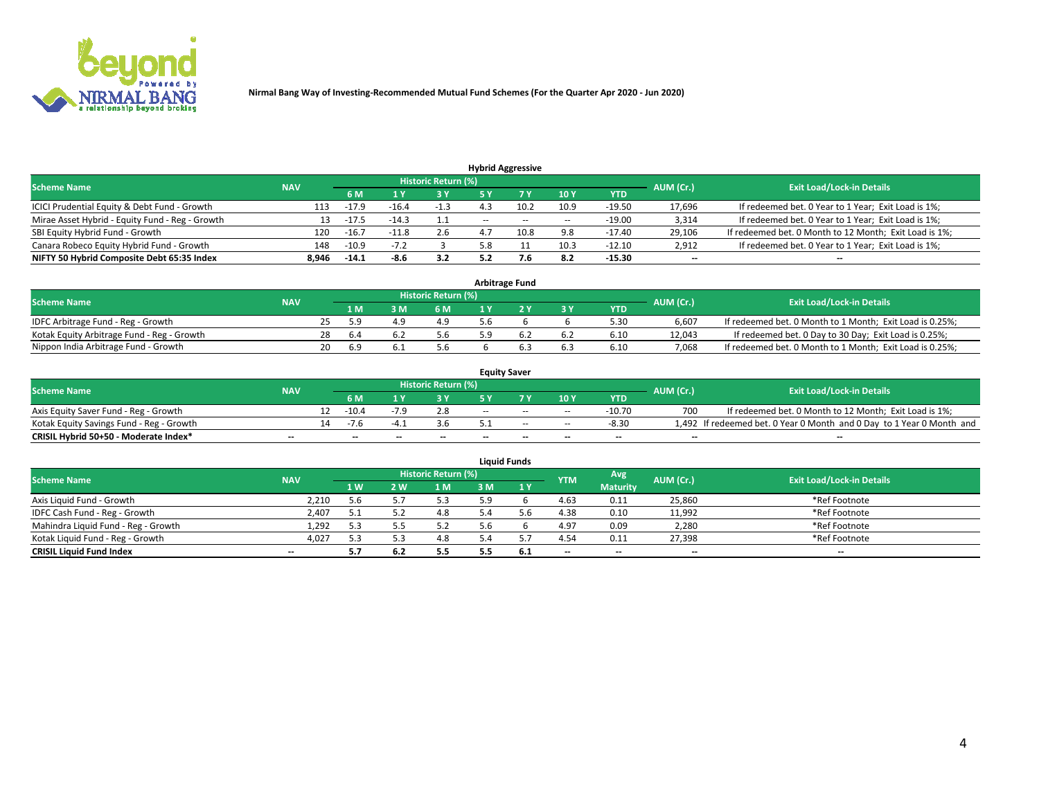

|                                                 |            |                                  |         |            |                          | <b>Hybrid Aggressive</b> |        |          |        |                                                        |
|-------------------------------------------------|------------|----------------------------------|---------|------------|--------------------------|--------------------------|--------|----------|--------|--------------------------------------------------------|
| <b>Scheme Name</b>                              | AUM (Cr.)  | <b>Exit Load/Lock-in Details</b> |         |            |                          |                          |        |          |        |                                                        |
|                                                 | <b>NAV</b> | 6 M                              |         | <b>3 Y</b> |                          |                          | 10Y    | YTD      |        |                                                        |
| ICICI Prudential Equity & Debt Fund - Growth    | 113        | $-17.9$                          | $-16.4$ | -1.3       |                          | 10.2                     | 10.9   | $-19.50$ | 17,696 | If redeemed bet. 0 Year to 1 Year; Exit Load is 1%;    |
| Mirae Asset Hybrid - Equity Fund - Reg - Growth | 13         | $-17.5$                          | -14.3   |            | $\overline{\phantom{a}}$ | $\sim$                   | $\sim$ | $-19.00$ | 3,314  | If redeemed bet. 0 Year to 1 Year; Exit Load is 1%;    |
| SBI Equity Hybrid Fund - Growth                 | 120        | $-16.7$                          | -11.8   | 2.6        |                          | 10.8                     | 9.8    | $-17.40$ | 29,106 | If redeemed bet. 0 Month to 12 Month; Exit Load is 1%; |
| Canara Robeco Equity Hybrid Fund - Growth       | 148        | $-10.9$                          | $-1.4$  |            |                          |                          | 10.3   | $-12.10$ | 2,912  | If redeemed bet. 0 Year to 1 Year; Exit Load is 1%;    |
| NIFTY 50 Hybrid Composite Debt 65:35 Index      | 8,946      | $-14.1$                          | -8.6    | 3.2        |                          |                          | 8.2    | $-15.30$ | $- -$  | $\overline{\phantom{a}}$                               |

| <b>Arbitrage Fund</b>                      |            |     |      |     |                            |     |  |       |            |           |                                                          |  |  |
|--------------------------------------------|------------|-----|------|-----|----------------------------|-----|--|-------|------------|-----------|----------------------------------------------------------|--|--|
| <b>Scheme Name</b>                         | <b>NAV</b> |     |      |     | <b>Historic Return (%)</b> |     |  |       |            | AUM (Cr.) | <b>Exit Load/Lock-in Details</b>                         |  |  |
|                                            |            |     | 1 M  | የ M | 6 M                        |     |  | $-3V$ | <b>YTD</b> |           |                                                          |  |  |
| IDFC Arbitrage Fund - Reg - Growth         |            |     | 59   |     | 4.9                        | 5.b |  |       | 5.30       | 6.607     | If redeemed bet. 0 Month to 1 Month; Exit Load is 0.25%; |  |  |
| Kotak Equity Arbitrage Fund - Reg - Growth |            | 28  | -6.4 |     | 5.6                        |     |  |       | 6.10       | 12.043    | If redeemed bet. 0 Day to 30 Day; Exit Load is 0.25%;    |  |  |
| Nippon India Arbitrage Fund - Growth       |            | 20. | 6.9  |     | 5.b                        |     |  | 6.3   | 6.10       | 7.068     | If redeemed bet. 0 Month to 1 Month; Exit Load is 0.25%; |  |  |

| <b>Equity Saver</b>                      |            |    |                          |    |                          |       |                          |        |            |           |                                                                       |  |  |  |
|------------------------------------------|------------|----|--------------------------|----|--------------------------|-------|--------------------------|--------|------------|-----------|-----------------------------------------------------------------------|--|--|--|
| <b>Scheme Name</b>                       | <b>NAV</b> |    |                          |    | Historic Return (%)      |       |                          |        |            | AUM (Cr.) | <b>Exit Load/Lock-in Details</b>                                      |  |  |  |
|                                          |            |    | 6 M                      |    |                          |       | 7 V                      | 10Y    | <b>YTD</b> |           |                                                                       |  |  |  |
| Axis Equity Saver Fund - Reg - Growth    |            | 12 | $-10.4$                  |    | 2.8                      | $- -$ | $-$                      | $\sim$ | $-10.70$   | 700       | If redeemed bet. 0 Month to 12 Month; Exit Load is 1%;                |  |  |  |
| Kotak Equity Savings Fund - Reg - Growth |            |    | -1 r                     |    |                          |       | $\sim$                   | $\sim$ | $-8.30$    |           | 1,492 If redeemed bet. 0 Year 0 Month and 0 Day to 1 Year 0 Month and |  |  |  |
| CRISIL Hybrid 50+50 - Moderate Index*    | $- -$      |    | $\overline{\phantom{a}}$ | -- | $\overline{\phantom{a}}$ | $-$   | $\overline{\phantom{a}}$ | $-$    | $-$        | $- -$     | --                                                                    |  |  |  |

| <b>Liquid Funds</b>                 |                          |     |            |                            |     |     |            |                 |           |                                  |  |  |  |
|-------------------------------------|--------------------------|-----|------------|----------------------------|-----|-----|------------|-----------------|-----------|----------------------------------|--|--|--|
| <b>Scheme Name</b>                  | <b>NAV</b>               |     |            | <b>Historic Return (%)</b> |     |     | <b>YTM</b> | Avg             | AUM (Cr.) | <b>Exit Load/Lock-in Details</b> |  |  |  |
|                                     |                          | 1W  | <b>2 W</b> | 1 M                        | 3 M | 1Y  |            | <b>Maturity</b> |           |                                  |  |  |  |
| Axis Liquid Fund - Growth           | 2,210                    | 5.6 |            | 5.3                        | 5.9 |     | 4.63       | 0.11            | 25,860    | *Ref Footnote                    |  |  |  |
| IDFC Cash Fund - Reg - Growth       | 2,407                    | ь.  |            | 4.8                        |     |     | 4.38       | 0.10            | 11,992    | *Ref Footnote                    |  |  |  |
| Mahindra Liquid Fund - Reg - Growth | 1,292                    | 5.3 |            | 5.2                        |     |     | 4.97       | 0.09            | 2,280     | *Ref Footnote                    |  |  |  |
| Kotak Liquid Fund - Reg - Growth    | 4,027                    | 5.3 |            | 4.8                        |     |     | 4.54       | 0.11            | 27,398    | *Ref Footnote                    |  |  |  |
| <b>CRISIL Liquid Fund Index</b>     | $\overline{\phantom{a}}$ |     | 6.2        | 5.5                        |     | 6.1 | $-$        | $-$             | $-$       | $-$                              |  |  |  |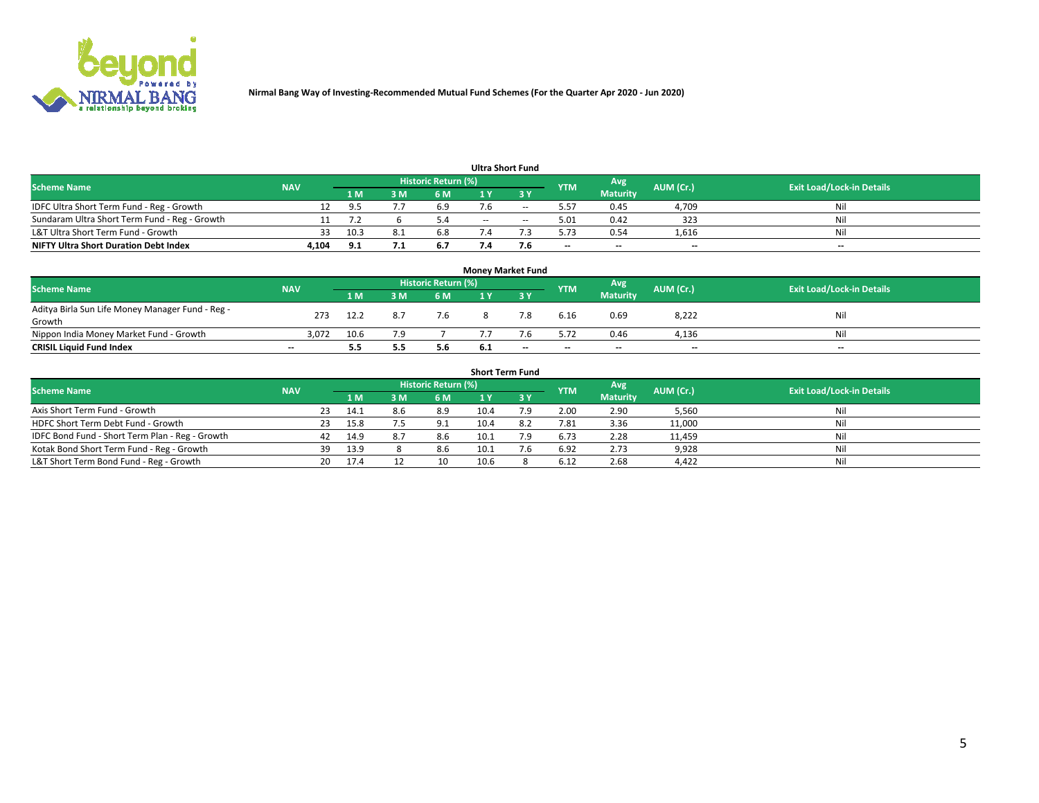

| <b>Ultra Short Fund</b>                       |            |      |   |                     |     |     |            |                          |           |                                  |  |  |  |  |
|-----------------------------------------------|------------|------|---|---------------------|-----|-----|------------|--------------------------|-----------|----------------------------------|--|--|--|--|
| <b>Scheme Name</b>                            | <b>NAV</b> |      |   | Historic Return (%) |     |     | <b>YTM</b> | Avg                      | AUM (Cr.) | <b>Exit Load/Lock-in Details</b> |  |  |  |  |
|                                               |            | 1 M  | M | 6 M                 |     | ע כ |            | <b>Maturity</b>          |           |                                  |  |  |  |  |
| IDFC Ultra Short Term Fund - Reg - Growth     |            |      |   | 6.9                 |     |     | 5.57       | 0.45                     | 4,709     | Nil                              |  |  |  |  |
| Sundaram Ultra Short Term Fund - Reg - Growth |            |      |   |                     | $-$ | $-$ | 5.01       | 0.42                     | 323       | Nil                              |  |  |  |  |
| L&T Ultra Short Term Fund - Growth            | 33         | 10.3 |   | 6.8                 |     |     | 5.73       | 0.54                     | 1,616     | Nil                              |  |  |  |  |
| <b>NIFTY Ultra Short Duration Debt Index</b>  | 4,104      | 9.1  |   | 6.7                 |     | 7.b | $- -$      | $\overline{\phantom{a}}$ | $- -$     | $- -$                            |  |  |  |  |

| <b>Money Market Fund</b>                         |            |      |     |                            |     |     |            |                 |           |                                  |  |  |  |  |
|--------------------------------------------------|------------|------|-----|----------------------------|-----|-----|------------|-----------------|-----------|----------------------------------|--|--|--|--|
| <b>Scheme Name</b>                               | <b>NAV</b> |      |     | <b>Historic Return (%)</b> |     |     | <b>YTM</b> | Avg             | AUM (Cr.) | <b>Exit Load/Lock-in Details</b> |  |  |  |  |
|                                                  |            | '1 M | 8 M | 6 M                        |     | ע כ |            | <b>Maturity</b> |           |                                  |  |  |  |  |
| Aditya Birla Sun Life Money Manager Fund - Reg - | 273        | 12.2 |     | 7.6                        |     | 7.8 | 6.16       | 0.69            | 8,222     | Nil                              |  |  |  |  |
| Growth                                           |            |      |     |                            |     |     |            |                 |           |                                  |  |  |  |  |
| Nippon India Money Market Fund - Growth          | 3.072      | 10.6 | 7 Q |                            |     |     | 5.72       | 0.46            | 4,136     | Nil                              |  |  |  |  |
| <b>CRISIL Liquid Fund Index</b>                  | $- -$      | 5.5  | 5.5 | 5.6                        | 6.1 | --  | $-$        | $-$             | $- -$     | $-$                              |  |  |  |  |

| <b>Short Term Fund</b>                          |            |     |      |     |                            |      |     |            |                 |           |                                  |  |  |
|-------------------------------------------------|------------|-----|------|-----|----------------------------|------|-----|------------|-----------------|-----------|----------------------------------|--|--|
| <b>Scheme Name</b>                              | <b>NAV</b> |     |      |     | <b>Historic Return (%)</b> |      |     | <b>YTM</b> | Avg             | AUM (Cr.) | <b>Exit Load/Lock-in Details</b> |  |  |
|                                                 |            |     |      | 3 M | 6 M                        |      |     |            | <b>Maturity</b> |           |                                  |  |  |
| Axis Short Term Fund - Growth                   |            | 23  | 14.1 | 8.6 | 8.9                        | 10.4 | 7.9 | 2.00       | 2.90            | 5,560     | Nil                              |  |  |
| HDFC Short Term Debt Fund - Growth              |            |     | 15.8 |     | 9.1                        | 10.4 |     | 7.81       | 3.36            | 11,000    | Nil                              |  |  |
| IDFC Bond Fund - Short Term Plan - Reg - Growth |            | 42  | 14.9 |     | 8.6                        | 10.1 | 7.9 | 6.73       | 2.28            | 11,459    | Nil                              |  |  |
| Kotak Bond Short Term Fund - Reg - Growth       |            | 39  | 13.9 |     | 8.6                        | 10.1 | 7.6 | 6.92       | 2.73            | 9,928     | Nil                              |  |  |
| L&T Short Term Bond Fund - Reg - Growth         |            | 20. | 17.4 |     | 10                         | 10.6 |     | 6.12       | 2.68            | 4,422     | Nil                              |  |  |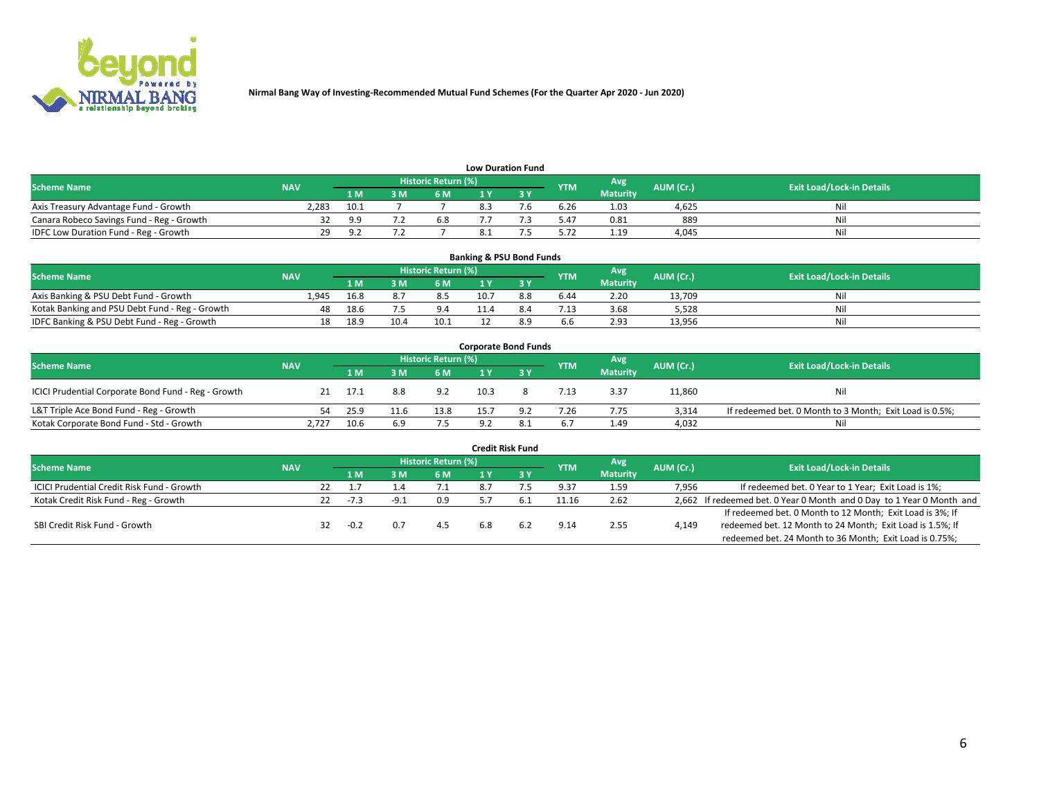

| <b>Low Duration Fund</b>                  |            |          |     |                            |  |     |            |                 |           |                                  |  |  |  |  |
|-------------------------------------------|------------|----------|-----|----------------------------|--|-----|------------|-----------------|-----------|----------------------------------|--|--|--|--|
| <b>Scheme Name</b>                        | <b>NAV</b> |          |     | <b>Historic Return (%)</b> |  |     | <b>YTM</b> | Avg             | AUM (Cr.) | <b>Exit Load/Lock-in Details</b> |  |  |  |  |
|                                           |            | 1 M .    | 3 M | 6 M                        |  | י פ |            | <b>Maturity</b> |           |                                  |  |  |  |  |
| Axis Treasury Advantage Fund - Growth     | 2.283      | 10.1     |     |                            |  |     | 6.26       | 1.03            | 4.625     | Nil                              |  |  |  |  |
| Canara Robeco Savings Fund - Reg - Growth |            | a a      |     | 6.8                        |  |     | 5.47       | 0.81            | 889       | Nil                              |  |  |  |  |
| IDFC Low Duration Fund - Reg - Growth     | 29         | $\Omega$ |     |                            |  |     | 5.72       | 1.19            | 4.045     | Nil                              |  |  |  |  |

| <b>Banking &amp; PSU Bond Funds</b>            |            |      |       |                     |      |     |            |                 |           |                                  |  |  |  |
|------------------------------------------------|------------|------|-------|---------------------|------|-----|------------|-----------------|-----------|----------------------------------|--|--|--|
| <b>Scheme Name</b>                             | <b>NAV</b> |      |       | Historic Return (%) |      |     | <b>YTM</b> | Avg             | AUM (Cr.) | <b>Exit Load/Lock-in Details</b> |  |  |  |
|                                                |            | 1 M  | 8 M S | 6 M                 |      |     |            | <b>Maturity</b> |           |                                  |  |  |  |
| Axis Banking & PSU Debt Fund - Growth          | 1.945      | 16.8 |       | 8.5                 | 10.7 | 8.8 | 6.44       | 2.20            | 13,709    | Nil                              |  |  |  |
| Kotak Banking and PSU Debt Fund - Reg - Growth | 48         | 18.6 |       | 9.4                 | 11.4 | 8.4 | 7.13       | 3.68            | 5.528     | Nil                              |  |  |  |
| IDFC Banking & PSU Debt Fund - Reg - Growth    | 18         | 18.9 | 10.4  | 10.1                |      | 89  | 6.6        | 2.93            | 13,956    | Nil                              |  |  |  |

| <b>Corporate Bond Funds</b>                         |            |      |      |                     |      |      |            |                 |           |                                                         |  |  |  |  |
|-----------------------------------------------------|------------|------|------|---------------------|------|------|------------|-----------------|-----------|---------------------------------------------------------|--|--|--|--|
| <b>Scheme Name</b>                                  | <b>NAV</b> |      |      | Historic Return (%) |      |      | <b>YTM</b> | Avg             | AUM (Cr.) | <b>Exit Load/Lock-in Details</b>                        |  |  |  |  |
|                                                     |            | '1 M |      | 6 M                 |      |      |            | <b>Maturity</b> |           |                                                         |  |  |  |  |
| ICICI Prudential Corporate Bond Fund - Reg - Growth |            | 17.1 | 8.8  | 9.2                 | 10.3 |      | 7.13       | 3.37            | 11,860    | Nil                                                     |  |  |  |  |
| L&T Triple Ace Bond Fund - Reg - Growth             | 54.        | 25.9 | 11.6 | 13.8                | 15.7 | 9.2  | 7.26       | 7.75            | 3.314     | If redeemed bet. 0 Month to 3 Month; Exit Load is 0.5%; |  |  |  |  |
| Kotak Corporate Bond Fund - Std - Growth            | 2.727      | 10.6 | 6.9  | 7.5                 | 9.2  | -8.1 | 6.7        | 1.49            | 4,032     | Nil                                                     |  |  |  |  |

| <b>Credit Risk Fund</b>                    |            |     |        |        |                            |     |            |            |                 |           |                                                                       |  |  |
|--------------------------------------------|------------|-----|--------|--------|----------------------------|-----|------------|------------|-----------------|-----------|-----------------------------------------------------------------------|--|--|
| <b>Scheme Name</b>                         | <b>NAV</b> |     |        |        | <b>Historic Return (%)</b> |     |            | <b>YTM</b> | Avg             | AUM (Cr.) | <b>Exit Load/Lock-in Details</b>                                      |  |  |
|                                            |            |     | 1 M    | 3M     | <b>6M</b>                  |     | <b>3 Y</b> |            | <b>Maturity</b> |           |                                                                       |  |  |
| ICICI Prudential Credit Risk Fund - Growth |            | 22  |        |        | 7.1                        | 8.7 |            | 9.37       | 1.59            | 7,956     | If redeemed bet. 0 Year to 1 Year; Exit Load is 1%;                   |  |  |
| Kotak Credit Risk Fund - Reg - Growth      |            | 22. | $-7.3$ | $-9.1$ | 0.9                        |     |            | 11.16      | 2.62            |           | 2,662 If redeemed bet. 0 Year 0 Month and 0 Day to 1 Year 0 Month and |  |  |
|                                            |            |     |        |        |                            |     |            |            |                 |           | If redeemed bet. 0 Month to 12 Month; Exit Load is 3%; If             |  |  |
| SBI Credit Risk Fund - Growth              |            |     | $-0.2$ |        | 4.5                        |     | 6.2        | 9.14       | 2.55            | 4,149     | redeemed bet. 12 Month to 24 Month; Exit Load is 1.5%; If             |  |  |
|                                            |            |     |        |        |                            |     |            |            |                 |           | redeemed bet. 24 Month to 36 Month; Exit Load is 0.75%;               |  |  |